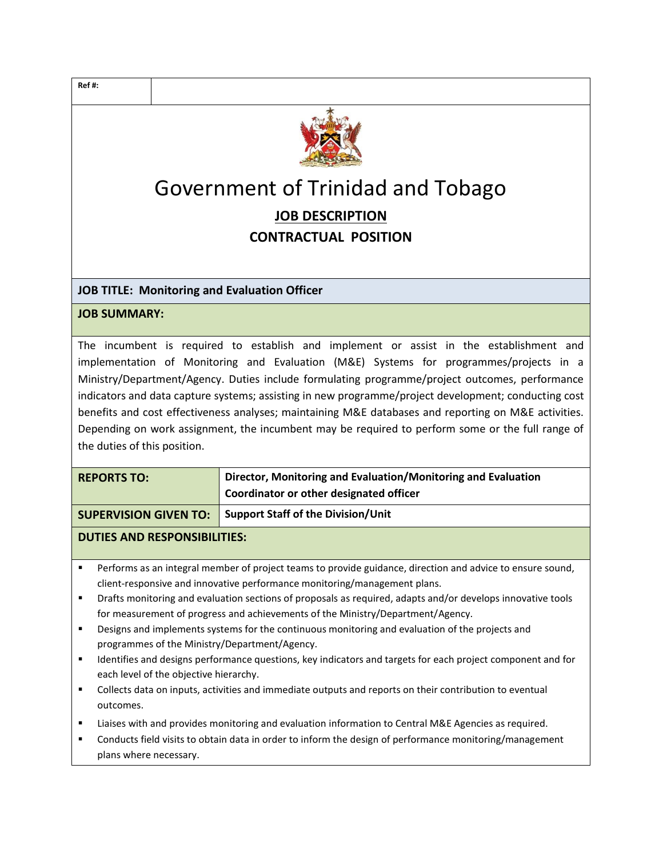

# Government of Trinidad and Tobago JOB DESCRIPTION CONTRACTUAL POSITION

## JOB TITLE: Monitoring and Evaluation Officer

#### JOB SUMMARY:

The incumbent is required to establish and implement or assist in the establishment and implementation of Monitoring and Evaluation (M&E) Systems for programmes/projects in a Ministry/Department/Agency. Duties include formulating programme/project outcomes, performance indicators and data capture systems; assisting in new programme/project development; conducting cost benefits and cost effectiveness analyses; maintaining M&E databases and reporting on M&E activities. Depending on work assignment, the incumbent may be required to perform some or the full range of the duties of this position.

| <b>REPORTS TO:</b> | Director, Monitoring and Evaluation/Monitoring and Evaluation |
|--------------------|---------------------------------------------------------------|
|                    | Coordinator or other designated officer                       |
|                    |                                                               |

SUPERVISION GIVEN TO: Support Staff of the Division/Unit

### DUTIES AND RESPONSIBILITIES:

- **Performs as an integral member of project teams to provide guidance, direction and advice to ensure sound,** client-responsive and innovative performance monitoring/management plans.
- Drafts monitoring and evaluation sections of proposals as required, adapts and/or develops innovative tools for measurement of progress and achievements of the Ministry/Department/Agency.
- Designs and implements systems for the continuous monitoring and evaluation of the projects and programmes of the Ministry/Department/Agency.
- **IDENTIFIER 19 IDENTIFIES and designs performance questions, key indicators and targets for each project component and for** each level of the objective hierarchy.
- Collects data on inputs, activities and immediate outputs and reports on their contribution to eventual outcomes.
- Liaises with and provides monitoring and evaluation information to Central M&E Agencies as required.
- Conducts field visits to obtain data in order to inform the design of performance monitoring/management plans where necessary.

Ref #: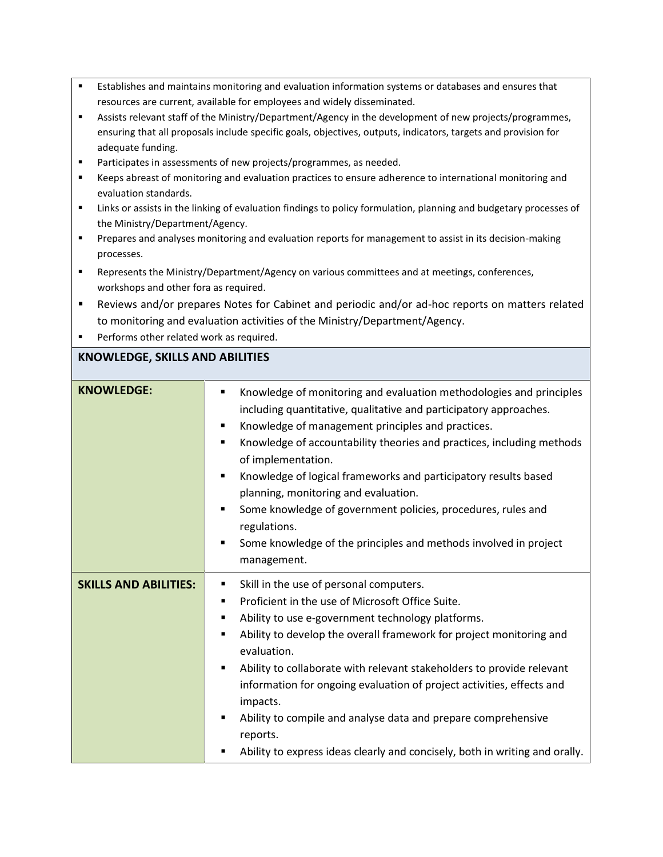- Establishes and maintains monitoring and evaluation information systems or databases and ensures that resources are current, available for employees and widely disseminated.
- Assists relevant staff of the Ministry/Department/Agency in the development of new projects/programmes, ensuring that all proposals include specific goals, objectives, outputs, indicators, targets and provision for adequate funding.
- Participates in assessments of new projects/programmes, as needed.
- Keeps abreast of monitoring and evaluation practices to ensure adherence to international monitoring and evaluation standards.
- Links or assists in the linking of evaluation findings to policy formulation, planning and budgetary processes of the Ministry/Department/Agency.
- **Prepares and analyses monitoring and evaluation reports for management to assist in its decision-making** processes.
- Represents the Ministry/Department/Agency on various committees and at meetings, conferences, workshops and other fora as required.
- Reviews and/or prepares Notes for Cabinet and periodic and/or ad-hoc reports on matters related to monitoring and evaluation activities of the Ministry/Department/Agency.
- **Performs other related work as required.**

### KNOWLEDGE, SKILLS AND ABILITIES

| <b>KNOWLEDGE:</b>            | Knowledge of monitoring and evaluation methodologies and principles<br>including quantitative, qualitative and participatory approaches.<br>Knowledge of management principles and practices.<br>٠<br>Knowledge of accountability theories and practices, including methods<br>٠<br>of implementation.<br>Knowledge of logical frameworks and participatory results based<br>$\blacksquare$<br>planning, monitoring and evaluation.<br>Some knowledge of government policies, procedures, rules and<br>$\blacksquare$<br>regulations.<br>Some knowledge of the principles and methods involved in project<br>٠<br>management. |
|------------------------------|-------------------------------------------------------------------------------------------------------------------------------------------------------------------------------------------------------------------------------------------------------------------------------------------------------------------------------------------------------------------------------------------------------------------------------------------------------------------------------------------------------------------------------------------------------------------------------------------------------------------------------|
| <b>SKILLS AND ABILITIES:</b> | Skill in the use of personal computers.<br>٠<br>Proficient in the use of Microsoft Office Suite.<br>Ability to use e-government technology platforms.<br>Ability to develop the overall framework for project monitoring and<br>evaluation.<br>Ability to collaborate with relevant stakeholders to provide relevant<br>information for ongoing evaluation of project activities, effects and<br>impacts.<br>Ability to compile and analyse data and prepare comprehensive<br>reports.<br>Ability to express ideas clearly and concisely, both in writing and orally.                                                         |